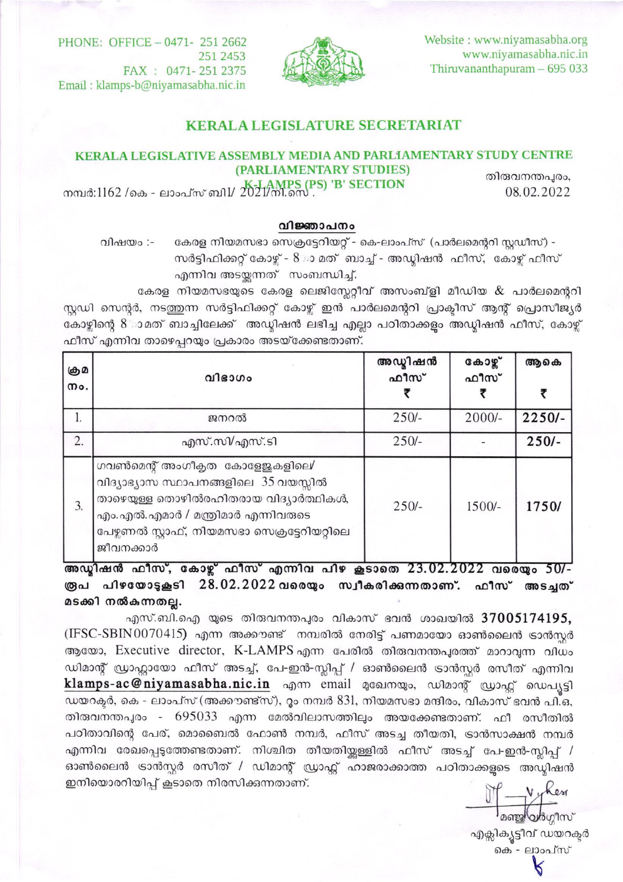Website: www.niyamasabha.org www.niyamasabha.nic.in Thiruvananthapuram  $-695033$ 



PHONE: OFFICE - 0471- 251 2662 251 2453 FAX: 0471-251 2375 Email: klamps-b@niyamasabha.nic.in

## **KERALA LEGISLATURE SECRETARIAT**

#### KERALA LEGISLATIVE ASSEMBLY MEDIA AND PARLIAMENTARY STUDY CENTRE (PARLIAMENTARY STUDIES)

തിരുവനന്തപുരം, 08.02.2022

നമ്പർ:1162 /കെ - ലാംപ്സ് ബി $1/2021/$ നി.സെ

### വിജ്ഞാപനം

വിഷയം :-കേരള നിയമസഭാ സെക്രട്ടേറിയറ്റ് - കെ-ലാംപ്സ് (പാർലമെന്ററി സ്റ്റഡീസ്) -സർട്ടിഫിക്കറ്റ് കോഴ്ല് - 8 ാ മത് ബാച്ച് - അഡ്വിഷൻ ഫീസ്, കോഴ്ച് ഫീസ് എന്നിവ അടയ്കന്നത് സംബന്ധിച്ച്.

കേരള നിയമസഭയുടെ കേരള ലെജിസ്തേറ്റീവ് അസംബ്ളി മീഡിയ  $\&$  പാർലമെന്ററി സ്റ്റഡി സെന്റർ, നടത്തുന്ന സർട്ടിഫിക്കറ്റ് കോഴ്ച് ഇൻ പാർലമെന്ററി പ്രാക്ടീസ് ആന്റ് പ്രൊസീജ്യർ കോഴ്ചിന്റെ 8ാമത് ബാച്ചിലേക്ക് അഡ്ലിഷൻ ലഭിച്ച എല്ലാ പഠിതാക്കളം അഡ്ലിഷൻ ഫീസ്, കോഴ്ച് ഫീസ് എന്നിവ താഴെപ്പറയും പ്രകാരം അടയ്ക്കേണ്ടതാണ്.

| கு உ<br>mo. | വിഭാഗം                                                                                                                                                                                                                                                                           | അഡ്വിഷൻ<br>ഫീസ്       | കോഴ്<br>ഫീസ് | ആകെ           |
|-------------|----------------------------------------------------------------------------------------------------------------------------------------------------------------------------------------------------------------------------------------------------------------------------------|-----------------------|--------------|---------------|
| ı.          | ജനറൽ                                                                                                                                                                                                                                                                             | $250/-$               | $2000/-$     | $2250/-$      |
| 2.          | എസ്.സി/എസ്.ടി                                                                                                                                                                                                                                                                    | $250/-$               |              | $250/-$       |
| 3.          | ഗവൺമെന്റ് അംഗീകൃത കോളേജകളിലെ∕<br>വിദ്യാഭ്യാസ സ്ഥാപനങ്ങളിലെ 35 വയസ്സിൽ<br>താഴെയുള്ള തൊഴിൽരഹിതരായ വിദ്യാർത്ഥികൾ,<br>എം.എൽ.എമാർ / മന്ത്രിമാർ എന്നിവരുടെ<br>പേഴ്ച ആരു സ്റ്റാഫ്, നിയമസഭാ സെക്രട്ടേറിയറ്റിലെ<br>ജീവനക്കാർ<br>$\overline{\mathbf{v}}$<br>$-9 - 0$<br>$-9 - 0$<br>$-2 -$ | $250/-$<br>88 88 8888 | $1500/-$     | 1750/<br>e mi |

അഡ്വിഷൻ ഫീസ്, കോഴ്ച് ഫീസ് എന്നിവ പിഴ കൂടാതെ 23.02.2022 വരെയും 50/-രൂപ പിഴയോടുകൂടി 28.02.2022വരെയും സ്വീകരിക്കുന്നതാണ്. ഫീസ് അടച്ചത് മടക്കി നൽകുന്നതല്ല.

എസ്.ബി.ഐ യുടെ തിരുവനന്തപുരം വികാസ് ഭവൻ ശാഖയിൽ 37005174195,  $($  IFSC-SBIN0070415) എന്ന അക്കൗണ്ട് നമ്പരിൽ നേരിട്ട് പണമായോ ഓൺലൈൻ ട്രാൻസൂർ ആയോ, Executive director, K-LAMPS എന്ന പേരിൽ തിരുവനന്തപുരത്ത് മാറാവുന്ന വിധം ഡിമാന്റ് ഡ്രാഫ്റ്റായോ ഫീസ് അടച്ച്, പേ-ഇൻ-സ്ലിപ്പ് / ഓൺലൈൻ ട്രാൻസ്റ്റർ രസീത് എന്നിവ klamps-ac@niyamasabha.nic.in എന്ന email മുഖേനയും, ഡിമാന്റ് ഡ്രാഫ്റ്റ് ഡെപ്യൂട്ടി ഡയറക്ടർ, കെ - ലാംപ്സ് (അക്കൗണ്ട്സ്), റൂം നമ്പർ 831, നിയമസഭാ മന്ദിരം, വികാസ് ഭവൻ പി.ഒ, തിരുവനന്തപുരം - 695033 എന്ന മേൽവിലാസത്തിലും അയക്കേണ്ടതാണ്. ഫീ രസീതിൽ പഠിതാവിന്റെ പേര്, മൊബൈൽ ഫോൺ നമ്പർ, ഫീസ് അടച്ച തീയതി, ട്രാൻസാക്ഷൻ നമ്പർ എന്നിവ രേഖപ്പെടുത്തേണ്ടതാണ്. നിശ്ചിത തീയതിയ്കള്ളിൽ ഫീസ് അടച്ച് പേ-ഇൻ-സ്ലിപ്പ് / ഓൺലൈൻ ട്രാൻസ്റ്റർ രസീത് / ഡിമാന്റ് ഡ്രാഫ്റ്റ് ഹാജരാക്കാത്ത പഠിതാക്കളുടെ അഡ്ലിഷൻ ഇനിയൊരറിയിപ്പ് കൂടാതെ നിരസിക്കുന്നതാണ്.

n verken<br>2008/2010

എക്സിക്യൂട്ടീവ് ഡയറക്ടർ കെ - ലാംപ്സ് К